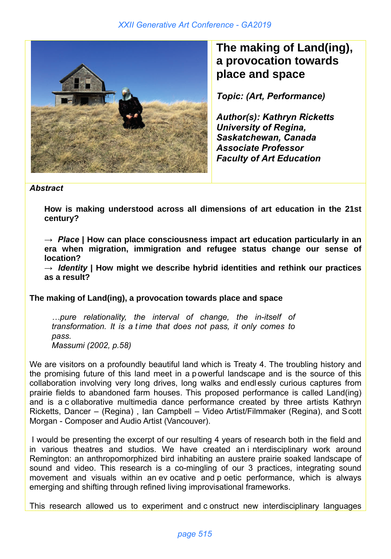

## **The making of Land(ing), a provocation towards place and space**

*Topic: (Art, Performance)*

*Author(s): Kathryn Ricketts University of Regina, Saskatchewan, Canada Associate Professor Faculty of Art Education*

## *Abstract*

**How is making understood across all dimensions of art education in the 21st century?**

**→** *Place* **| How can place consciousness impact art education particularly in an era when migration, immigration and refugee status change our sense of location?** 

**→** *Identity* **| How might we describe hybrid identities and rethink our practices as a result?**

## **The making of Land(ing), a provocation towards place and space**

*…pure relationality, the interval of change, the in-itself of transformation. It is a t ime that does not pass, it only comes to pass. Massumi (2002, p.58)*

We are visitors on a profoundly beautiful land which is Treaty 4. The troubling history and the promising future of this land meet in a p owerful landscape and is the source of this collaboration involving very long drives, long walks and endl essly curious captures from prairie fields to abandoned farm houses. This proposed performance is called Land(ing) and is a c ollaborative multimedia dance performance created by three artists Kathryn Ricketts, Dancer – (Regina) , Ian Campbell – Video Artist/Filmmaker (Regina), and Scott Morgan - Composer and Audio Artist (Vancouver).

I would be presenting the excerpt of our resulting 4 years of research both in the field and in various theatres and studios. We have created an i nterdisciplinary work around Remington: an anthropomorphized bird inhabiting an austere prairie soaked landscape of sound and video. This research is a co-mingling of our 3 practices, integrating sound movement and visuals within an ev ocative and p oetic performance, which is always emerging and shifting through refined living improvisational frameworks.

This research allowed us to experiment and c onstruct new interdisciplinary languages